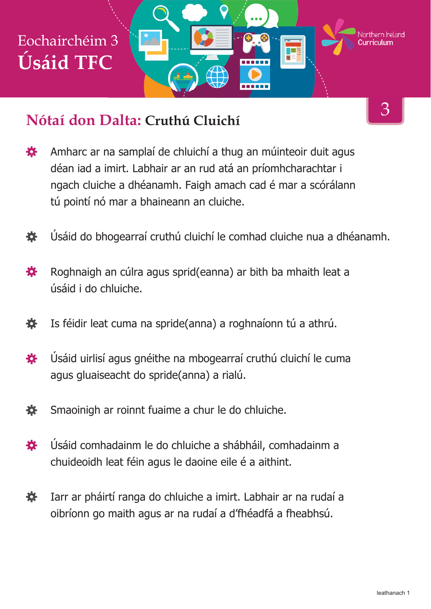

#### **Nótaí don Dalta: Cruthú Cluichí**

- Amharc ar na samplaí de chluichí a thug an múinteoir duit agus 娄 déan iad a imirt. Labhair ar an rud atá an príomhcharachtar i ngach cluiche a dhéanamh. Faigh amach cad é mar a scórálann tú pointí nó mar a bhaineann an cluiche.
- Úsáid do bhogearraí cruthú cluichí le comhad cluiche nua a dhéanamh. 春
- 娄 Roghnaigh an cúlra agus sprid(eanna) ar bith ba mhaith leat a úsáid i do chluiche.
- Is féidir leat cuma na spride(anna) a roghnaíonn tú a athrú. 養
- Úsáid uirlisí agus gnéithe na mbogearraí cruthú cluichí le cuma 登 agus gluaiseacht do spride(anna) a rialú.
- 娄 Smaoinigh ar roinnt fuaime a chur le do chluiche.
- Úsáid comhadainm le do chluiche a shábháil, comhadainm a 娄 chuideoidh leat féin agus le daoine eile é a aithint.
- Iarr ar pháirtí ranga do chluiche a imirt. Labhair ar na rudaí a 養 oibríonn go maith agus ar na rudaí a d'fhéadfá a fheabhsú.

3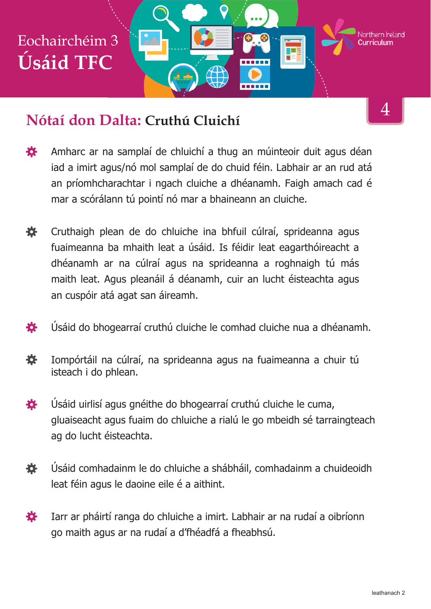

#### **Nótaí don Dalta: Cruthú Cluichí**

- Amharc ar na samplaí de chluichí a thug an múinteoir duit agus déan 娄 iad a imirt agus/nó mol samplaí de do chuid féin. Labhair ar an rud atá an príomhcharachtar i ngach cluiche a dhéanamh. Faigh amach cad é mar a scórálann tú pointí nó mar a bhaineann an cluiche.
- 券. Cruthaigh plean de do chluiche ina bhfuil cúlraí, sprideanna agus fuaimeanna ba mhaith leat a úsáid. Is féidir leat eagarthóireacht a dhéanamh ar na cúlraí agus na sprideanna a roghnaigh tú más maith leat. Agus pleanáil á déanamh, cuir an lucht éisteachta agus an cuspóir atá agat san áireamh.
- Úsáid do bhogearraí cruthú cluiche le comhad cluiche nua a dhéanamh. 登
- 養 Iompórtáil na cúlraí, na sprideanna agus na fuaimeanna a chuir tú isteach i do phlean.
- Úsáid uirlisí agus gnéithe do bhogearraí cruthú cluiche le cuma, 娄 gluaiseacht agus fuaim do chluiche a rialú le go mbeidh sé tarraingteach ag do lucht éisteachta.
- 娄 Úsáid comhadainm le do chluiche a shábháil, comhadainm a chuideoidh leat féin agus le daoine eile é a aithint.
- Iarr ar pháirtí ranga do chluiche a imirt. Labhair ar na rudaí a oibríonn 娄 go maith agus ar na rudaí a d'fhéadfá a fheabhsú.

4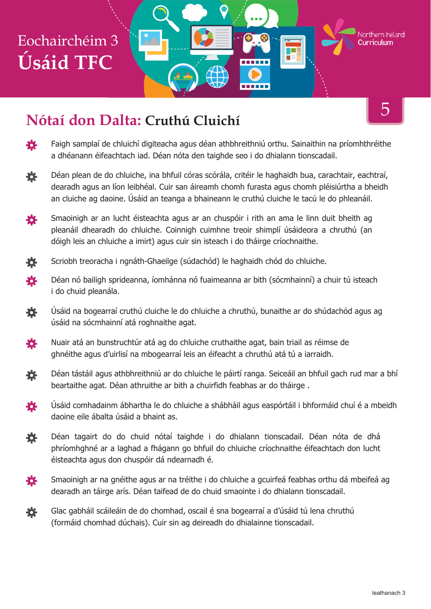# Eochairchéim 3 **Úsáid TFC**

## **Nótaí don Dalta: Cruthú Cluichí**

- 登 Faigh samplaí de chluichí digiteacha agus déan athbhreithniú orthu. Sainaithin na príomhthréithe a dhéanann éifeachtach iad. Déan nóta den taighde seo i do dhialann tionscadail.
- 烧 Déan plean de do chluiche, ina bhfuil córas scórála, critéir le haghaidh bua, carachtair, eachtraí, dearadh agus an líon leibhéal. Cuir san áireamh chomh furasta agus chomh pléisiúrtha a bheidh an cluiche ag daoine. Úsáid an teanga a bhaineann le cruthú cluiche le tacú le do phleanáil.
- Smaoinigh ar an lucht éisteachta agus ar an chuspóir i rith an ama le linn duit bheith ag 養 pleanáil dhearadh do chluiche. Coinnigh cuimhne treoir shimplí úsáideora a chruthú (an dóigh leis an chluiche a imirt) agus cuir sin isteach i do tháirge críochnaithe.
- Scriobh treoracha i ngnáth-Ghaeilge (súdachód) le haghaidh chód do chluiche. 養
- 養 Déan nó bailigh sprideanna, íomhánna nó fuaimeanna ar bith (sócmhainní) a chuir tú isteach i do chuid pleanála.
- 娄 Úsáid na bogearraí cruthú cluiche le do chluiche a chruthú, bunaithe ar do shúdachód agus ag úsáid na sócmhainní atá roghnaithe agat.
- Nuair atá an bunstruchtúr atá ag do chluiche cruthaithe agat, bain triail as réimse de 登 ghnéithe agus d'uirlisí na mbogearraí leis an éifeacht a chruthú atá tú a iarraidh.
- Déan tástáil agus athbhreithniú ar do chluiche le páirtí ranga. Seiceáil an bhfuil gach rud mar a bhí 烧。 beartaithe agat. Déan athruithe ar bith a chuirfidh feabhas ar do tháirge .
- 奁 Úsáid comhadainm ábhartha le do chluiche a shábháil agus easpórtáil i bhformáid chuí é a mbeidh daoine eile ábalta úsáid a bhaint as.
- 斎 Déan tagairt do do chuid nótaí taighde i do dhialann tionscadail. Déan nóta de dhá phríomhghné ar a laghad a fhágann go bhfuil do chluiche críochnaithe éifeachtach don lucht éisteachta agus don chuspóir dá ndearnadh é.
- Smaoinigh ar na gnéithe agus ar na tréithe i do chluiche a gcuirfeá feabhas orthu dá mbeifeá ag 娄 dearadh an táirge arís. Déan taifead de do chuid smaointe i do dhialann tionscadail.
- 養 Glac gabháil scáileáin de do chomhad, oscail é sna bogearraí a d'úsáid tú lena chruthú (formáid chomhad dúchais). Cuir sin ag deireadh do dhialainne tionscadail.

5

Northern Ireland

тaе

------